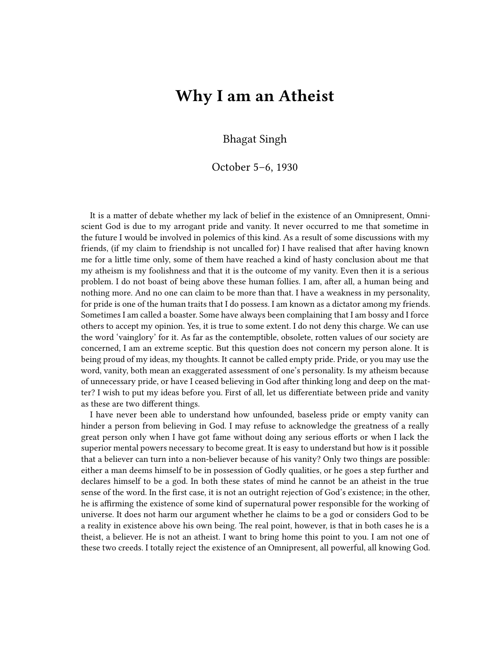## **Why I am an Atheist**

Bhagat Singh

## October 5–6, 1930

It is a matter of debate whether my lack of belief in the existence of an Omnipresent, Omniscient God is due to my arrogant pride and vanity. It never occurred to me that sometime in the future I would be involved in polemics of this kind. As a result of some discussions with my friends, (if my claim to friendship is not uncalled for) I have realised that after having known me for a little time only, some of them have reached a kind of hasty conclusion about me that my atheism is my foolishness and that it is the outcome of my vanity. Even then it is a serious problem. I do not boast of being above these human follies. I am, after all, a human being and nothing more. And no one can claim to be more than that. I have a weakness in my personality, for pride is one of the human traits that I do possess. I am known as a dictator among my friends. Sometimes I am called a boaster. Some have always been complaining that I am bossy and I force others to accept my opinion. Yes, it is true to some extent. I do not deny this charge. We can use the word 'vainglory' for it. As far as the contemptible, obsolete, rotten values of our society are concerned, I am an extreme sceptic. But this question does not concern my person alone. It is being proud of my ideas, my thoughts. It cannot be called empty pride. Pride, or you may use the word, vanity, both mean an exaggerated assessment of one's personality. Is my atheism because of unnecessary pride, or have I ceased believing in God after thinking long and deep on the matter? I wish to put my ideas before you. First of all, let us differentiate between pride and vanity as these are two different things.

I have never been able to understand how unfounded, baseless pride or empty vanity can hinder a person from believing in God. I may refuse to acknowledge the greatness of a really great person only when I have got fame without doing any serious efforts or when I lack the superior mental powers necessary to become great. It is easy to understand but how is it possible that a believer can turn into a non-believer because of his vanity? Only two things are possible: either a man deems himself to be in possession of Godly qualities, or he goes a step further and declares himself to be a god. In both these states of mind he cannot be an atheist in the true sense of the word. In the first case, it is not an outright rejection of God's existence; in the other, he is affirming the existence of some kind of supernatural power responsible for the working of universe. It does not harm our argument whether he claims to be a god or considers God to be a reality in existence above his own being. The real point, however, is that in both cases he is a theist, a believer. He is not an atheist. I want to bring home this point to you. I am not one of these two creeds. I totally reject the existence of an Omnipresent, all powerful, all knowing God.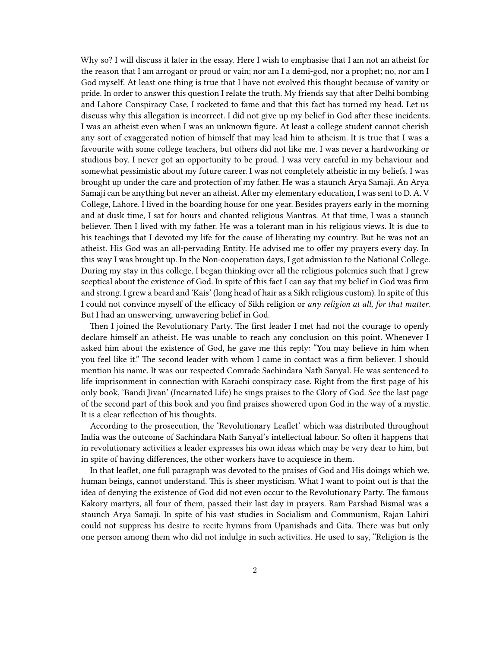Why so? I will discuss it later in the essay. Here I wish to emphasise that I am not an atheist for the reason that I am arrogant or proud or vain; nor am I a demi-god, nor a prophet; no, nor am I God myself. At least one thing is true that I have not evolved this thought because of vanity or pride. In order to answer this question I relate the truth. My friends say that after Delhi bombing and Lahore Conspiracy Case, I rocketed to fame and that this fact has turned my head. Let us discuss why this allegation is incorrect. I did not give up my belief in God after these incidents. I was an atheist even when I was an unknown figure. At least a college student cannot cherish any sort of exaggerated notion of himself that may lead him to atheism. It is true that I was a favourite with some college teachers, but others did not like me. I was never a hardworking or studious boy. I never got an opportunity to be proud. I was very careful in my behaviour and somewhat pessimistic about my future career. I was not completely atheistic in my beliefs. I was brought up under the care and protection of my father. He was a staunch Arya Samaji. An Arya Samaji can be anything but never an atheist. After my elementary education, I was sent to D. A. V College, Lahore. I lived in the boarding house for one year. Besides prayers early in the morning and at dusk time, I sat for hours and chanted religious Mantras. At that time, I was a staunch believer. Then I lived with my father. He was a tolerant man in his religious views. It is due to his teachings that I devoted my life for the cause of liberating my country. But he was not an atheist. His God was an all-pervading Entity. He advised me to offer my prayers every day. In this way I was brought up. In the Non-cooperation days, I got admission to the National College. During my stay in this college, I began thinking over all the religious polemics such that I grew sceptical about the existence of God. In spite of this fact I can say that my belief in God was firm and strong. I grew a beard and 'Kais' (long head of hair as a Sikh religious custom). In spite of this I could not convince myself of the efficacy of Sikh religion or *any religion at all, for that matter*. But I had an unswerving, unwavering belief in God.

Then I joined the Revolutionary Party. The first leader I met had not the courage to openly declare himself an atheist. He was unable to reach any conclusion on this point. Whenever I asked him about the existence of God, he gave me this reply: "You may believe in him when you feel like it." The second leader with whom I came in contact was a firm believer. I should mention his name. It was our respected Comrade Sachindara Nath Sanyal. He was sentenced to life imprisonment in connection with Karachi conspiracy case. Right from the first page of his only book, 'Bandi Jivan' (Incarnated Life) he sings praises to the Glory of God. See the last page of the second part of this book and you find praises showered upon God in the way of a mystic. It is a clear reflection of his thoughts.

According to the prosecution, the 'Revolutionary Leaflet' which was distributed throughout India was the outcome of Sachindara Nath Sanyal's intellectual labour. So often it happens that in revolutionary activities a leader expresses his own ideas which may be very dear to him, but in spite of having differences, the other workers have to acquiesce in them.

In that leaflet, one full paragraph was devoted to the praises of God and His doings which we, human beings, cannot understand. This is sheer mysticism. What I want to point out is that the idea of denying the existence of God did not even occur to the Revolutionary Party. The famous Kakory martyrs, all four of them, passed their last day in prayers. Ram Parshad Bismal was a staunch Arya Samaji. In spite of his vast studies in Socialism and Communism, Rajan Lahiri could not suppress his desire to recite hymns from Upanishads and Gita. There was but only one person among them who did not indulge in such activities. He used to say, "Religion is the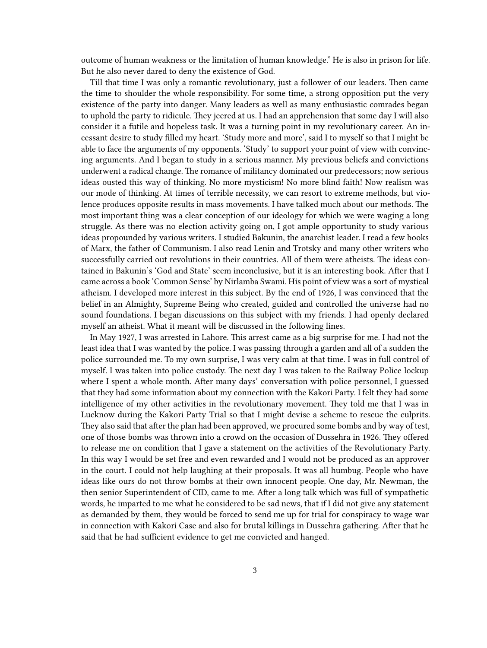outcome of human weakness or the limitation of human knowledge." He is also in prison for life. But he also never dared to deny the existence of God.

Till that time I was only a romantic revolutionary, just a follower of our leaders. Then came the time to shoulder the whole responsibility. For some time, a strong opposition put the very existence of the party into danger. Many leaders as well as many enthusiastic comrades began to uphold the party to ridicule. They jeered at us. I had an apprehension that some day I will also consider it a futile and hopeless task. It was a turning point in my revolutionary career. An incessant desire to study filled my heart. 'Study more and more', said I to myself so that I might be able to face the arguments of my opponents. 'Study' to support your point of view with convincing arguments. And I began to study in a serious manner. My previous beliefs and convictions underwent a radical change. The romance of militancy dominated our predecessors; now serious ideas ousted this way of thinking. No more mysticism! No more blind faith! Now realism was our mode of thinking. At times of terrible necessity, we can resort to extreme methods, but violence produces opposite results in mass movements. I have talked much about our methods. The most important thing was a clear conception of our ideology for which we were waging a long struggle. As there was no election activity going on, I got ample opportunity to study various ideas propounded by various writers. I studied Bakunin, the anarchist leader. I read a few books of Marx, the father of Communism. I also read Lenin and Trotsky and many other writers who successfully carried out revolutions in their countries. All of them were atheists. The ideas contained in Bakunin's 'God and State' seem inconclusive, but it is an interesting book. After that I came across a book 'Common Sense' by Nirlamba Swami. His point of view was a sort of mystical atheism. I developed more interest in this subject. By the end of 1926, I was convinced that the belief in an Almighty, Supreme Being who created, guided and controlled the universe had no sound foundations. I began discussions on this subject with my friends. I had openly declared myself an atheist. What it meant will be discussed in the following lines.

In May 1927, I was arrested in Lahore. This arrest came as a big surprise for me. I had not the least idea that I was wanted by the police. I was passing through a garden and all of a sudden the police surrounded me. To my own surprise, I was very calm at that time. I was in full control of myself. I was taken into police custody. The next day I was taken to the Railway Police lockup where I spent a whole month. After many days' conversation with police personnel, I guessed that they had some information about my connection with the Kakori Party. I felt they had some intelligence of my other activities in the revolutionary movement. They told me that I was in Lucknow during the Kakori Party Trial so that I might devise a scheme to rescue the culprits. They also said that after the plan had been approved, we procured some bombs and by way of test, one of those bombs was thrown into a crowd on the occasion of Dussehra in 1926. They offered to release me on condition that I gave a statement on the activities of the Revolutionary Party. In this way I would be set free and even rewarded and I would not be produced as an approver in the court. I could not help laughing at their proposals. It was all humbug. People who have ideas like ours do not throw bombs at their own innocent people. One day, Mr. Newman, the then senior Superintendent of CID, came to me. After a long talk which was full of sympathetic words, he imparted to me what he considered to be sad news, that if I did not give any statement as demanded by them, they would be forced to send me up for trial for conspiracy to wage war in connection with Kakori Case and also for brutal killings in Dussehra gathering. After that he said that he had sufficient evidence to get me convicted and hanged.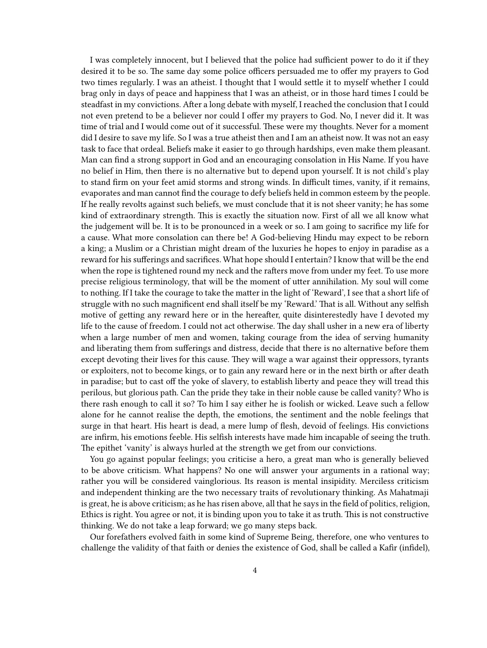I was completely innocent, but I believed that the police had sufficient power to do it if they desired it to be so. The same day some police officers persuaded me to offer my prayers to God two times regularly. I was an atheist. I thought that I would settle it to myself whether I could brag only in days of peace and happiness that I was an atheist, or in those hard times I could be steadfast in my convictions. After a long debate with myself, I reached the conclusion that I could not even pretend to be a believer nor could I offer my prayers to God. No, I never did it. It was time of trial and I would come out of it successful. These were my thoughts. Never for a moment did I desire to save my life. So I was a true atheist then and I am an atheist now. It was not an easy task to face that ordeal. Beliefs make it easier to go through hardships, even make them pleasant. Man can find a strong support in God and an encouraging consolation in His Name. If you have no belief in Him, then there is no alternative but to depend upon yourself. It is not child's play to stand firm on your feet amid storms and strong winds. In difficult times, vanity, if it remains, evaporates and man cannot find the courage to defy beliefs held in common esteem by the people. If he really revolts against such beliefs, we must conclude that it is not sheer vanity; he has some kind of extraordinary strength. This is exactly the situation now. First of all we all know what the judgement will be. It is to be pronounced in a week or so. I am going to sacrifice my life for a cause. What more consolation can there be! A God-believing Hindu may expect to be reborn a king; a Muslim or a Christian might dream of the luxuries he hopes to enjoy in paradise as a reward for his sufferings and sacrifices. What hope should I entertain? I know that will be the end when the rope is tightened round my neck and the rafters move from under my feet. To use more precise religious terminology, that will be the moment of utter annihilation. My soul will come to nothing. If I take the courage to take the matter in the light of 'Reward', I see that a short life of struggle with no such magnificent end shall itself be my 'Reward.' That is all. Without any selfish motive of getting any reward here or in the hereafter, quite disinterestedly have I devoted my life to the cause of freedom. I could not act otherwise. The day shall usher in a new era of liberty when a large number of men and women, taking courage from the idea of serving humanity and liberating them from sufferings and distress, decide that there is no alternative before them except devoting their lives for this cause. They will wage a war against their oppressors, tyrants or exploiters, not to become kings, or to gain any reward here or in the next birth or after death in paradise; but to cast off the yoke of slavery, to establish liberty and peace they will tread this perilous, but glorious path. Can the pride they take in their noble cause be called vanity? Who is there rash enough to call it so? To him I say either he is foolish or wicked. Leave such a fellow alone for he cannot realise the depth, the emotions, the sentiment and the noble feelings that surge in that heart. His heart is dead, a mere lump of flesh, devoid of feelings. His convictions are infirm, his emotions feeble. His selfish interests have made him incapable of seeing the truth. The epithet 'vanity' is always hurled at the strength we get from our convictions.

You go against popular feelings; you criticise a hero, a great man who is generally believed to be above criticism. What happens? No one will answer your arguments in a rational way; rather you will be considered vainglorious. Its reason is mental insipidity. Merciless criticism and independent thinking are the two necessary traits of revolutionary thinking. As Mahatmaji is great, he is above criticism; as he has risen above, all that he says in the field of politics, religion, Ethics is right. You agree or not, it is binding upon you to take it as truth. This is not constructive thinking. We do not take a leap forward; we go many steps back.

Our forefathers evolved faith in some kind of Supreme Being, therefore, one who ventures to challenge the validity of that faith or denies the existence of God, shall be called a Kafir (infidel),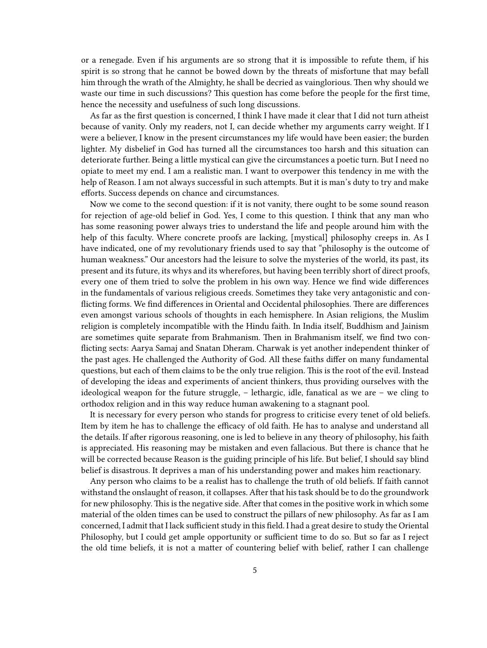or a renegade. Even if his arguments are so strong that it is impossible to refute them, if his spirit is so strong that he cannot be bowed down by the threats of misfortune that may befall him through the wrath of the Almighty, he shall be decried as vainglorious. Then why should we waste our time in such discussions? This question has come before the people for the first time, hence the necessity and usefulness of such long discussions.

As far as the first question is concerned, I think I have made it clear that I did not turn atheist because of vanity. Only my readers, not I, can decide whether my arguments carry weight. If I were a believer, I know in the present circumstances my life would have been easier; the burden lighter. My disbelief in God has turned all the circumstances too harsh and this situation can deteriorate further. Being a little mystical can give the circumstances a poetic turn. But I need no opiate to meet my end. I am a realistic man. I want to overpower this tendency in me with the help of Reason. I am not always successful in such attempts. But it is man's duty to try and make efforts. Success depends on chance and circumstances.

Now we come to the second question: if it is not vanity, there ought to be some sound reason for rejection of age-old belief in God. Yes, I come to this question. I think that any man who has some reasoning power always tries to understand the life and people around him with the help of this faculty. Where concrete proofs are lacking, [mystical] philosophy creeps in. As I have indicated, one of my revolutionary friends used to say that "philosophy is the outcome of human weakness." Our ancestors had the leisure to solve the mysteries of the world, its past, its present and its future, its whys and its wherefores, but having been terribly short of direct proofs, every one of them tried to solve the problem in his own way. Hence we find wide differences in the fundamentals of various religious creeds. Sometimes they take very antagonistic and conflicting forms. We find differences in Oriental and Occidental philosophies. There are differences even amongst various schools of thoughts in each hemisphere. In Asian religions, the Muslim religion is completely incompatible with the Hindu faith. In India itself, Buddhism and Jainism are sometimes quite separate from Brahmanism. Then in Brahmanism itself, we find two conflicting sects: Aarya Samaj and Snatan Dheram. Charwak is yet another independent thinker of the past ages. He challenged the Authority of God. All these faiths differ on many fundamental questions, but each of them claims to be the only true religion. This is the root of the evil. Instead of developing the ideas and experiments of ancient thinkers, thus providing ourselves with the ideological weapon for the future struggle, – lethargic, idle, fanatical as we are – we cling to orthodox religion and in this way reduce human awakening to a stagnant pool.

It is necessary for every person who stands for progress to criticise every tenet of old beliefs. Item by item he has to challenge the efficacy of old faith. He has to analyse and understand all the details. If after rigorous reasoning, one is led to believe in any theory of philosophy, his faith is appreciated. His reasoning may be mistaken and even fallacious. But there is chance that he will be corrected because Reason is the guiding principle of his life. But belief, I should say blind belief is disastrous. It deprives a man of his understanding power and makes him reactionary.

Any person who claims to be a realist has to challenge the truth of old beliefs. If faith cannot withstand the onslaught of reason, it collapses. After that his task should be to do the groundwork for new philosophy. This is the negative side. After that comes in the positive work in which some material of the olden times can be used to construct the pillars of new philosophy. As far as I am concerned, I admit that I lack sufficient study in this field. I had a great desire to study the Oriental Philosophy, but I could get ample opportunity or sufficient time to do so. But so far as I reject the old time beliefs, it is not a matter of countering belief with belief, rather I can challenge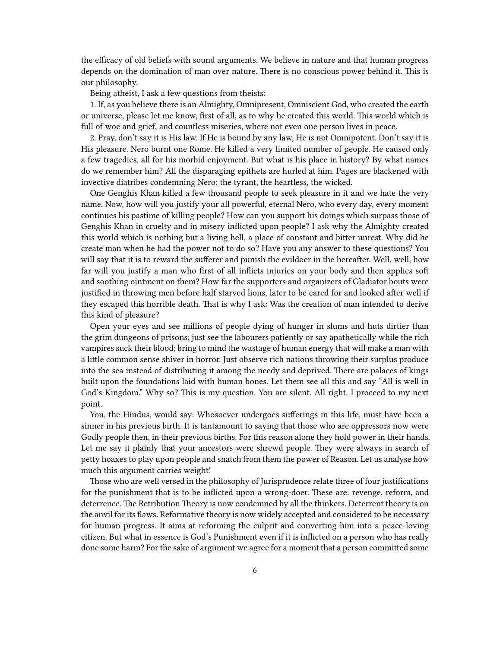the efficacy of old beliefs with sound arguments. We believe in nature and that human progress depends on the domination of man over nature. There is no conscious power behind it. This is our philosophy.

Being atheist, I ask a few questions from theists:

1. If, as you believe there is an Almighty, Omnipresent, Omniscient God, who created the earth or universe, please let me know, first of all, as to why he created this world. This world which is full of woe and grief, and countless miseries, where not even one person lives in peace.

2. Pray, don't say it is His law. If He is bound by any law, He is not Omnipotent. Don't say it is His pleasure. Nero burnt one Rome. He killed a very limited number of people. He caused only a few tragedies, all for his morbid enjoyment. But what is his place in history? By what names do we remember him? All the disparaging epithets are hurled at him. Pages are blackened with invective diatribes condemning Nero: the tyrant, the heartless, the wicked.

One Genghis Khan killed a few thousand people to seek pleasure in it and we hate the very name. Now, how will you justify your all powerful, eternal Nero, who every day, every moment continues his pastime of killing people? How can you support his doings which surpass those of Genghis Khan in cruelty and in misery inflicted upon people? I ask why the Almighty created this world which is nothing but a living hell, a place of constant and bitter unrest. Why did he create man when he had the power not to do so? Have you any answer to these questions? You will say that it is to reward the sufferer and punish the evildoer in the hereafter. Well, well, how far will you justify a man who first of all inflicts injuries on your body and then applies soft and soothing ointment on them? How far the supporters and organizers of Gladiator bouts were justified in throwing men before half starved lions, later to be cared for and looked after well if they escaped this horrible death. That is why I ask: Was the creation of man intended to derive this kind of pleasure?

Open your eyes and see millions of people dying of hunger in slums and huts dirtier than the grim dungeons of prisons; just see the labourers patiently or say apathetically while the rich vampires suck their blood; bring to mind the wastage of human energy that will make a man with a little common sense shiver in horror. Just observe rich nations throwing their surplus produce into the sea instead of distributing it among the needy and deprived. There are palaces of kings built upon the foundations laid with human bones. Let them see all this and say "All is well in God's Kingdom." Why so? This is my question. You are silent. All right. I proceed to my next point.

You, the Hindus, would say: Whosoever undergoes sufferings in this life, must have been a sinner in his previous birth. It is tantamount to saying that those who are oppressors now were Godly people then, in their previous births. For this reason alone they hold power in their hands. Let me say it plainly that your ancestors were shrewd people. They were always in search of petty hoaxes to play upon people and snatch from them the power of Reason. Let us analyse how much this argument carries weight!

Those who are well versed in the philosophy of Jurisprudence relate three of four justifications for the punishment that is to be inflicted upon a wrong-doer. These are: revenge, reform, and deterrence. The Retribution Theory is now condemned by all the thinkers. Deterrent theory is on the anvil for its flaws. Reformative theory is now widely accepted and considered to be necessary for human progress. It aims at reforming the culprit and converting him into a peace-loving citizen. But what in essence is God's Punishment even if it is inflicted on a person who has really done some harm? For the sake of argument we agree for a moment that a person committed some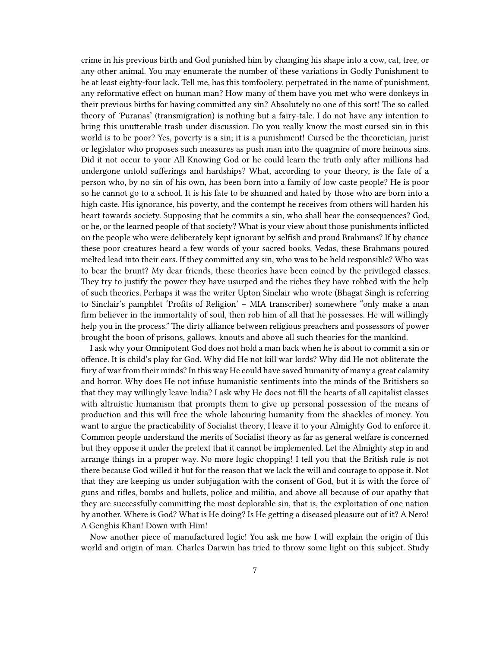crime in his previous birth and God punished him by changing his shape into a cow, cat, tree, or any other animal. You may enumerate the number of these variations in Godly Punishment to be at least eighty-four lack. Tell me, has this tomfoolery, perpetrated in the name of punishment, any reformative effect on human man? How many of them have you met who were donkeys in their previous births for having committed any sin? Absolutely no one of this sort! The so called theory of 'Puranas' (transmigration) is nothing but a fairy-tale. I do not have any intention to bring this unutterable trash under discussion. Do you really know the most cursed sin in this world is to be poor? Yes, poverty is a sin; it is a punishment! Cursed be the theoretician, jurist or legislator who proposes such measures as push man into the quagmire of more heinous sins. Did it not occur to your All Knowing God or he could learn the truth only after millions had undergone untold sufferings and hardships? What, according to your theory, is the fate of a person who, by no sin of his own, has been born into a family of low caste people? He is poor so he cannot go to a school. It is his fate to be shunned and hated by those who are born into a high caste. His ignorance, his poverty, and the contempt he receives from others will harden his heart towards society. Supposing that he commits a sin, who shall bear the consequences? God, or he, or the learned people of that society? What is your view about those punishments inflicted on the people who were deliberately kept ignorant by selfish and proud Brahmans? If by chance these poor creatures heard a few words of your sacred books, Vedas, these Brahmans poured melted lead into their ears. If they committed any sin, who was to be held responsible? Who was to bear the brunt? My dear friends, these theories have been coined by the privileged classes. They try to justify the power they have usurped and the riches they have robbed with the help of such theories. Perhaps it was the writer Upton Sinclair who wrote (Bhagat Singh is referring to Sinclair's pamphlet 'Profits of Religion' – MIA transcriber) somewhere "only make a man firm believer in the immortality of soul, then rob him of all that he possesses. He will willingly help you in the process." The dirty alliance between religious preachers and possessors of power brought the boon of prisons, gallows, knouts and above all such theories for the mankind.

I ask why your Omnipotent God does not hold a man back when he is about to commit a sin or offence. It is child's play for God. Why did He not kill war lords? Why did He not obliterate the fury of war from their minds? In this way He could have saved humanity of many a great calamity and horror. Why does He not infuse humanistic sentiments into the minds of the Britishers so that they may willingly leave India? I ask why He does not fill the hearts of all capitalist classes with altruistic humanism that prompts them to give up personal possession of the means of production and this will free the whole labouring humanity from the shackles of money. You want to argue the practicability of Socialist theory, I leave it to your Almighty God to enforce it. Common people understand the merits of Socialist theory as far as general welfare is concerned but they oppose it under the pretext that it cannot be implemented. Let the Almighty step in and arrange things in a proper way. No more logic chopping! I tell you that the British rule is not there because God willed it but for the reason that we lack the will and courage to oppose it. Not that they are keeping us under subjugation with the consent of God, but it is with the force of guns and rifles, bombs and bullets, police and militia, and above all because of our apathy that they are successfully committing the most deplorable sin, that is, the exploitation of one nation by another. Where is God? What is He doing? Is He getting a diseased pleasure out of it? A Nero! A Genghis Khan! Down with Him!

Now another piece of manufactured logic! You ask me how I will explain the origin of this world and origin of man. Charles Darwin has tried to throw some light on this subject. Study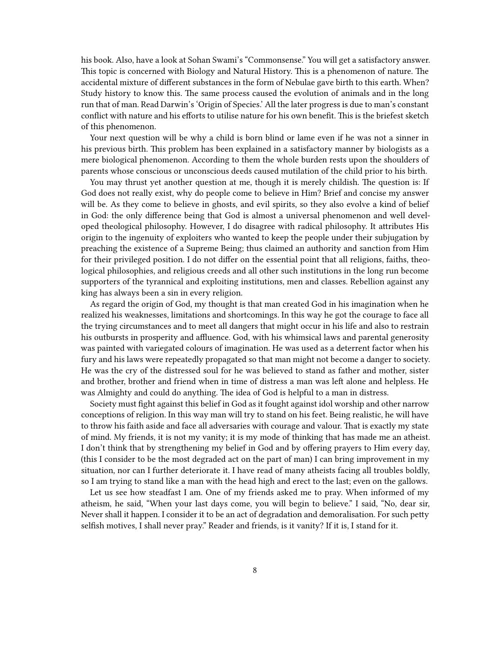his book. Also, have a look at Sohan Swami's "Commonsense." You will get a satisfactory answer. This topic is concerned with Biology and Natural History. This is a phenomenon of nature. The accidental mixture of different substances in the form of Nebulae gave birth to this earth. When? Study history to know this. The same process caused the evolution of animals and in the long run that of man. Read Darwin's 'Origin of Species.' All the later progress is due to man's constant conflict with nature and his efforts to utilise nature for his own benefit. This is the briefest sketch of this phenomenon.

Your next question will be why a child is born blind or lame even if he was not a sinner in his previous birth. This problem has been explained in a satisfactory manner by biologists as a mere biological phenomenon. According to them the whole burden rests upon the shoulders of parents whose conscious or unconscious deeds caused mutilation of the child prior to his birth.

You may thrust yet another question at me, though it is merely childish. The question is: If God does not really exist, why do people come to believe in Him? Brief and concise my answer will be. As they come to believe in ghosts, and evil spirits, so they also evolve a kind of belief in God: the only difference being that God is almost a universal phenomenon and well developed theological philosophy. However, I do disagree with radical philosophy. It attributes His origin to the ingenuity of exploiters who wanted to keep the people under their subjugation by preaching the existence of a Supreme Being; thus claimed an authority and sanction from Him for their privileged position. I do not differ on the essential point that all religions, faiths, theological philosophies, and religious creeds and all other such institutions in the long run become supporters of the tyrannical and exploiting institutions, men and classes. Rebellion against any king has always been a sin in every religion.

As regard the origin of God, my thought is that man created God in his imagination when he realized his weaknesses, limitations and shortcomings. In this way he got the courage to face all the trying circumstances and to meet all dangers that might occur in his life and also to restrain his outbursts in prosperity and affluence. God, with his whimsical laws and parental generosity was painted with variegated colours of imagination. He was used as a deterrent factor when his fury and his laws were repeatedly propagated so that man might not become a danger to society. He was the cry of the distressed soul for he was believed to stand as father and mother, sister and brother, brother and friend when in time of distress a man was left alone and helpless. He was Almighty and could do anything. The idea of God is helpful to a man in distress.

Society must fight against this belief in God as it fought against idol worship and other narrow conceptions of religion. In this way man will try to stand on his feet. Being realistic, he will have to throw his faith aside and face all adversaries with courage and valour. That is exactly my state of mind. My friends, it is not my vanity; it is my mode of thinking that has made me an atheist. I don't think that by strengthening my belief in God and by offering prayers to Him every day, (this I consider to be the most degraded act on the part of man) I can bring improvement in my situation, nor can I further deteriorate it. I have read of many atheists facing all troubles boldly, so I am trying to stand like a man with the head high and erect to the last; even on the gallows.

Let us see how steadfast I am. One of my friends asked me to pray. When informed of my atheism, he said, "When your last days come, you will begin to believe." I said, "No, dear sir, Never shall it happen. I consider it to be an act of degradation and demoralisation. For such petty selfish motives, I shall never pray." Reader and friends, is it vanity? If it is, I stand for it.